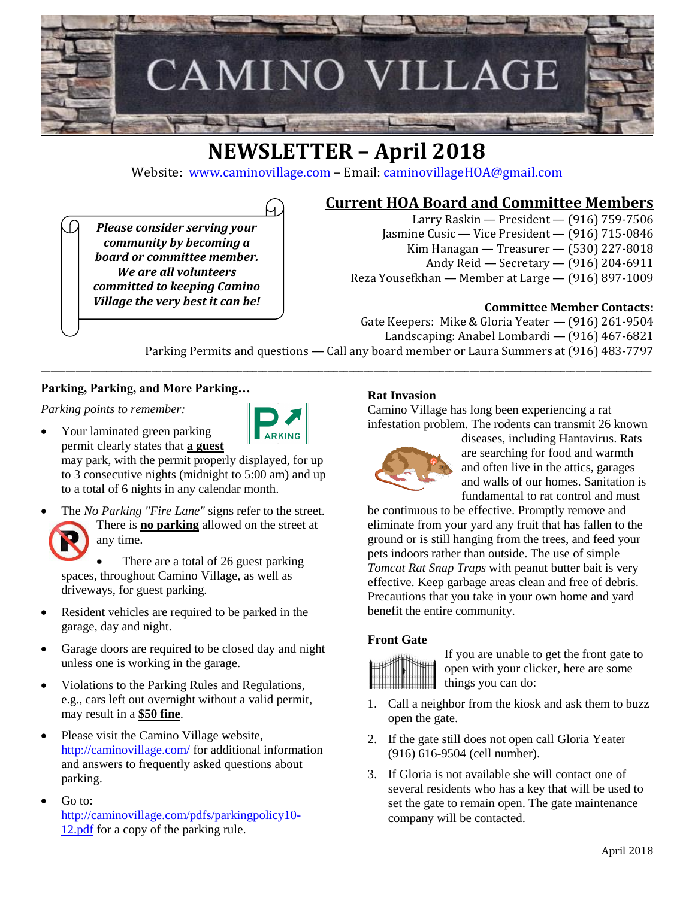

# **NEWSLETTER – April 2018**

Website: [www.caminovillage.com](http://www.caminovillage.com/) – Email: [caminovillageHOA@gmail.com](mailto:caminovillageHOA@gmail.com)

## **Current HOA Board and Committee Members**

*Please consider serving your community by becoming a board or committee member. We are all volunteers committed to keeping Camino Village the very best it can be!*

- Larry Raskin President (916) 759-7506 Jasmine Cusic — Vice President — (916) 715-0846
- Kim Hanagan Treasurer (530) 227-8018
	- Andy Reid Secretary (916) 204-6911
- Reza Yousefkhan Member at Large (916) 897-1009

## **Committee Member Contacts:**

Gate Keepers: Mike & Gloria Yeater — (916) 261-9504 Landscaping: Anabel Lombardi — (916) 467-6821

Parking Permits and questions — Call any board member or Laura Summers at (916) 483-7797 \_\_\_\_\_\_\_\_\_\_\_\_\_\_\_\_\_\_\_\_\_\_\_\_\_\_\_\_\_\_\_\_\_\_\_\_\_\_\_\_\_\_\_\_\_\_\_\_\_\_\_\_\_\_\_\_\_\_\_\_\_\_\_\_\_\_\_\_\_\_\_\_\_\_\_\_\_\_\_\_\_\_\_\_\_\_\_\_\_\_\_\_\_\_\_\_\_\_\_\_\_\_\_\_\_\_\_\_\_\_\_\_\_\_\_\_\_\_\_\_\_

#### **Parking, Parking, and More Parking…**

*Parking points to remember:*

- Your laminated green parking permit clearly states that **a guest** may park, with the permit properly displayed, for up to 3 consecutive nights (midnight to 5:00 am) and up to a total of 6 nights in any calendar month.
- The *No Parking "Fire Lane"* signs refer to the street. There is **no parking** allowed on the street at any time.

There are a total of 26 guest parking spaces, throughout Camino Village, as well as driveways, for guest parking.

- Resident vehicles are required to be parked in the garage, day and night.
- Garage doors are required to be closed day and night unless one is working in the garage.
- Violations to the Parking Rules and Regulations, e.g., cars left out overnight without a valid permit, may result in a **\$50 fine**.
- Please visit the Camino Village website, <http://caminovillage.com/> for additional information and answers to frequently asked questions about parking.
- Go to: [http://caminovillage.com/pdfs/parkingpolicy10-](http://caminovillage.com/pdfs/parkingpolicy10-12.pdf) [12.pdf](http://caminovillage.com/pdfs/parkingpolicy10-12.pdf) for a copy of the parking rule.

## **Rat Invasion**

Camino Village has long been experiencing a rat infestation problem. The rodents can transmit 26 known



diseases, including Hantavirus. Rats are searching for food and warmth and often live in the attics, garages and walls of our homes. Sanitation is fundamental to rat control and must

be continuous to be effective. Promptly remove and eliminate from your yard any fruit that has fallen to the ground or is still hanging from the trees, and feed your pets indoors rather than outside. The use of simple *Tomcat Rat Snap Traps* with peanut butter bait is very effective. Keep garbage areas clean and free of debris. Precautions that you take in your own home and yard benefit the entire community.

#### **Front Gate**



If you are unable to get the front gate to open with your clicker, here are some things you can do:

- 1. Call a neighbor from the kiosk and ask them to buzz open the gate.
- 2. If the gate still does not open call Gloria Yeater (916) 616-9504 (cell number).
- 3. If Gloria is not available she will contact one of several residents who has a key that will be used to set the gate to remain open. The gate maintenance company will be contacted.